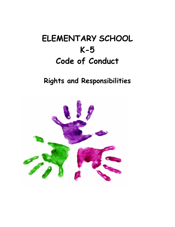# **ELEMENTARY SCHOOL K-5 Code of Conduct**

# **Rights and Responsibilities**

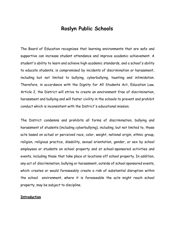# **Roslyn Public Schools**

The Board of Education recognizes that learning environments that are safe and supportive can increase student attendance and improve academic achievement. A student's ability to learn and achieve high academic standards, and a school's ability to educate students, is compromised by incidents of discrimination or harassment, including but not limited to bullying, cyberbullying, taunting and intimidation. Therefore, in accordance with the Dignity for All Students Act, Education Law, Article 2, the District will strive to create an environment free of discrimination, harassment and bullying and will foster civility in the schools to prevent and prohibit conduct which is inconsistent with the District's educational mission.

The District condemns and prohibits all forms of discrimination, bullying and harassment of students (including cyberbullying), including, but not limited to, those acts based on actual or perceived race, color, weight, national origin, ethnic group, religion, religious practice, disability, sexual orientation, gender, or sex by school employees or students on school property and at school-sponsored activities and events, including those that take place at locations off school property. In addition, any act of discrimination, bullying or harassment, outside of school sponsored events, which creates or would foreseeably create a risk of substantial disruption within the school environment, where it is foreseeable the acts might reach school property, may be subject to discipline.

#### **Introduction**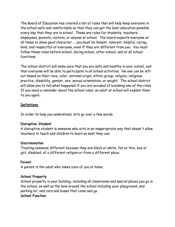The Board of Education has created a list of rules that will help keep everyone in the school safe and comfortable so that they can get the best education possible every day that they are in school. These are rules for students, teachers, employees, parents, visitors, or anyone at school. The board expects everyone at all times to show good character ... you must be honest, tolerant, helpful, caring, kind, and respectful of everyone, even if they are different from you. You must follow these rules before school, during school, after school, and at all school functions.

The school district will make sure that you are safe and healthy in your school, and that everyone will be able to participate in all school activities. No one can be left out based on their race, color, national origin, ethnic group, religion, religious practice, disability, gender, sex, sexual orientation, or weight. The school district will allow you to tell what happened if you are accused of breaking one of the rules. If you need a reminder about the school rules, an adult at school will explain them to you again.

#### **Definitions**

In order to help you understand, let's go over a few words.

#### **Disruptive Student**

A disruptive student is someone who acts in an inappropriate way that doesn't allow teachers to teach and children to learn as best they can.

#### **Discrimination**

Treating someone different because they are black or white, fat or thin, boy or girl, disabled, of a different religion or from a different place.

#### **Parent**

A parent is the adult who takes care of you at home.

#### **School Property**

School property is your building, including all classrooms and special places you go in the school, as well as the land around the school including your playground, and parking lot, and cars and buses that come and go. **School Function**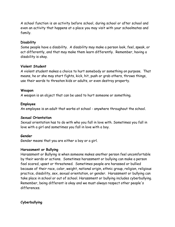A school function is an activity before school, during school or after school and even an activity that happens at a place you may visit with your schoolmates and family.

#### **Disability**

Some people have a disability. A disability may make a person look, feel, speak, or act differently, and that may make them learn differently. Remember, having a disability is okay.

#### **Violent Student**

A violent student makes a choice to hurt somebody or something on purpose. That means, he or she may start fights, kick, hit, push or grab others, throws things, use their words to threaten kids or adults, or even destroy property.

#### **Weapon**

A weapon is an object that can be used to hurt someone or something.

#### **Employee**

An employee is an adult that works at school - anywhere throughout the school.

#### **Sexual Orientation**

Sexual orientation has to do with who you fall in love with. Sometimes you fall in love with a girl and sometimes you fall in love with a boy.

#### **Gender**

Gender means that you are either a boy or a girl.

#### **Harassment or Bullying**

Harassment or Bullying is when someone makes another person feel uncomfortable by their words or actions. Sometimes harassment or bullying can make a person feel scared, upset or threatened. Sometimes people are harassed or bullied because of their race, color, weight, national origin, ethnic group, religion, religious practice, disability, sex, sexual orientation, or gender. Harassment or bullying can take place in school or out of school. Harassment or bullying includes cyberbullying. Remember, being different is okay and we must always respect other people's differences.

#### **Cyberbullying**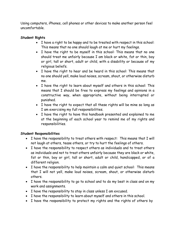Using computers, iPhones, cell phones or other devices to make another person feel uncomfortable.

### **Student Rights**

- I have a right to be happy and to be treated with respect in this school: This means that no one should laugh at me or hurt my feelings.
- I have the right to be myself in this school: This means that no one should treat me unfairly because I am black or white, fat or thin, boy or girl, tall or short, adult or child, with a disability or because of my religious beliefs.
- I have the right to hear and be heard in this school: This means that no one should yell, make loud noises, scream, shout, or otherwise disturb me.
- I have the right to learn about myself and others in this school: This means that I should be free to express my feelings and opinions in a constructive way, when appropriate, without being interrupted or punished.
- I have the right to expect that all these rights will be mine so long as I am exercising my full responsibilities.
- I have the right to have this handbook presented and explained to me at the beginning of each school year to remind me of my rights and responsibilities.

#### **Student Responsibilities**

- I have the responsibility to treat others with respect: This means that I will not laugh at others, tease others, or try to hurt the feelings of others.
- I have the responsibility to respect others as individuals and to treat others as individuals and not to treat others unfairly because they are black or white, fat or thin, boy or girl, tall or short, adult or child, handicapped, or of a different religion.
- I have the responsibility to help maintain a calm and quiet school: This means that I will not yell, make loud noises, scream, shout, or otherwise disturb others.
- I have the responsibility to go to school and to do my best in class and on my work and assignments.
- I have the responsibility to stay in class unless I am excused.
- I have the responsibility to learn about myself and others in this school.
- I have the responsibility to protect my rights and the rights of others by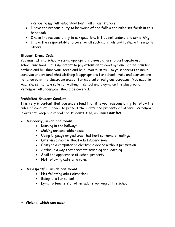exercising my full responsibilities in all circumstances.

- I have the responsibility to be aware of and follow the rules set forth in this handbook.
- I have the responsibility to ask questions if I do not understand something.
- I have the responsibility to care for all such materials and to share them with others.

#### **Student Dress Code**

You must attend school wearing appropriate clean clothes to participate in all school functions. It is important to pay attention to good hygiene habits including bathing and brushing your teeth and hair. You must talk to your parents to make sure you understand what clothing is appropriate for school. Hats and scarves are not allowed in the classroom except for medical or religious purposes. You need to wear shoes that are safe for walking in school and playing on the playground. Remember all underwear should be covered.

#### **Prohibited Student Conduct**

It is very important that you understand that it is your responsibility to follow the rules of conduct in order to protect the rights and property of others. Remember in order to keep our school and students safe, you must *not be*:

#### **Disorderly, which can mean:**

- Running in the hallways
- Making unreasonable noises
- Using language or gestures that hurt someone's feelings
- Entering a room without adult supervision
- Going on a computer or electronic device without permission
- Acting in a way that prevents teaching and learning
- Spoil the appearance of school property
- Not following cafeteria rules

#### **Disrespectful, which can mean:**

- Not following adult directions
- Being late for school
- Lying to teachers or other adults working at the school

#### **Violent, which can mean:**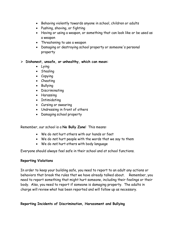- Behaving violently towards anyone in school, children or adults
- Pushing, shoving, or fighting
- Having or using a weapon, or something that can look like or be used as a weapon
- Threatening to use a weapon
- Damaging or destroying school property or someone's personal property

**Dishonest, unsafe, or unhealthy, which can mean:**

- Lying
- Stealing
- Copying
- Cheating
- Bullying
- Discriminating
- Harassing
- Intimidating
- Cursing or swearing
- Undressing in front of others
- Damaging school property

Remember, our school is a **No Bully Zone**! This means:

- We do *not* hurt others with our hands or feet
- We do *not* hurt people with the words that we say to them
- We do *not* hurt others with body language

Everyone should always feel safe in their school and at school functions.

#### **Reporting Violations**

In order to keep your building safe, you need to report to an adult any actions or behaviors that break the rules that we have already talked about. Remember, you need to report something that might hurt someone, including their feelings or their body. Also, you need to report if someone is damaging property. The adults in charge will review what has been reported and will follow up as necessary.

**Reporting Incidents of Discrimination, Harassment and Bullying**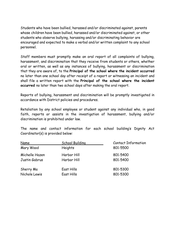Students who have been bullied, harassed and/or discriminated against, parents whose children have been bullied, harassed and/or discriminated against, or other students who observe bullying, harassing and/or discriminating behavior are encouraged and expected to make a verbal and/or written complaint to any school personnel.

Staff members must promptly make an oral report of all complaints of bullying, harassment, and discrimination that they receive from students or others, whether oral or written, as well as any instances of bullying, harassment or discrimination that they are aware of, to the **Principal of the school where the incident occurred** no later than one school day after receipt of a report or witnessing an incident and shall file a written report with the **Principal of the school where the incident occurred** no later than two school days after making the oral report.

Reports of bullying, harassment and discrimination will be promptly investigated in accordance with District policies and procedures.

Retaliation by any school employee or student against any individual who, in good faith, reports or assists in the investigation of harassment, bullying and/or discrimination is prohibited under law.

The name and contact information for each school building's Dignity Act Coordinator(s) is provided below:

| <u>Name</u>    | <b>School Building</b> | <b>Contact Information</b> |
|----------------|------------------------|----------------------------|
| Mary Wood      | Heights                | 801-5500                   |
| Michelle Hazen | Harbor Hill            | 801-5400                   |
| Justin Gabrus  | Harbor Hill            | 801-5400                   |
| Sherry Ma      | East Hills             | 801-5300                   |
| Nichole Lewis  | East Hills             | 801-5300                   |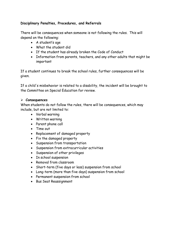#### **Disciplinary Penalties, Procedures, and Referrals**

There will be consequences when someone is not following the rules. This will depend on the following:

- A student's age
- What the student did
- If the student has already broken the Code of Conduct
- Information from parents, teachers, and any other adults that might be important

If a student continues to break the school rules, further consequences will be given.

If a child's misbehavior is related to a disability, the incident will be brought to the Committee on Special Education for review.

#### **Consequences**

When students do not follow the rules, there will be consequences, which may include, but are not limited to:

- Verbal warning
- Written warning
- Parent phone call
- Time out
- Replacement of damaged property
- Fix the damaged property
- Suspension from transportation
- Suspension from extracurricular activities
- Suspension of other privileges
- In school suspension
- Removal from classroom
- Short-term (five days or less) suspension from school
- Long-term (more than five days) suspension from school
- Permanent suspension from school
- Bus Seat Reassignment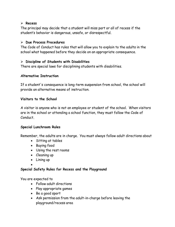#### **Recess**

The principal may decide that a student will miss part or all of recess if the student's behavior is dangerous, unsafe, or disrespectful.

#### **Due Process Procedures**

The Code of Conduct has rules that will allow you to explain to the adults in the school what happened before they decide on an appropriate consequence.

#### **Discipline of Students with Disabilities**

There are special laws for disciplining students with disabilities.

#### **Alternative Instruction**

If a student's consequence is long-term suspension from school, the school will provide an alternative means of instruction.

#### **Visitors to the School**

A visitor is anyone who is not an employee or student of the school. When visitors are in the school or attending a school function, they must follow the Code of Conduct.

#### **Special Lunchroom Rules**

Remember, the adults are in charge. You must always follow adult directions about

- Sitting at tables
- Buying food
- Using the rest rooms
- Cleaning up
- Lining up
- •

#### **Special Safety Rules for Recess and the Playground**

You are expected to

- Follow adult directions
- Play appropriate games
- Be a good sport
- Ask permission from the adult-in-charge before leaving the playground/recess area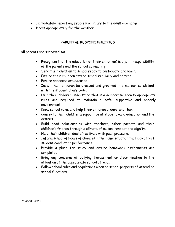- Immediately report any problem or injury to the adult-in-charge
- Dress appropriately for the weather

#### **PARENTAL RESPONSIBILITIES**

All parents are supposed to:

- Recognize that the education of their child(ren) is a joint responsibility of the parents and the school community.
- Send their children to school ready to participate and learn.
- Ensure their children attend school regularly and on time.
- Ensure absences are excused.
- Insist their children be dressed and groomed in a manner consistent with the student dress code.
- Help their children understand that in a democratic society appropriate rules are required to maintain a safe, supportive and orderly environment.
- Know school rules and help their children understand them.
- Convey to their children a supportive attitude toward education and the district.
- Build good relationships with teachers, other parents and their children's friends through a climate of mutual respect and dignity.
- Help their children deal effectively with peer pressure.
- Inform school officials of changes in the home situation that may affect student conduct or performance.
- Provide a place for study and ensure homework assignments are completed.
- Bring any concerns of bullying, harassment or discrimination to the attention of the appropriate school official.
- Follow school rules and regulations when on school property of attending school functions.